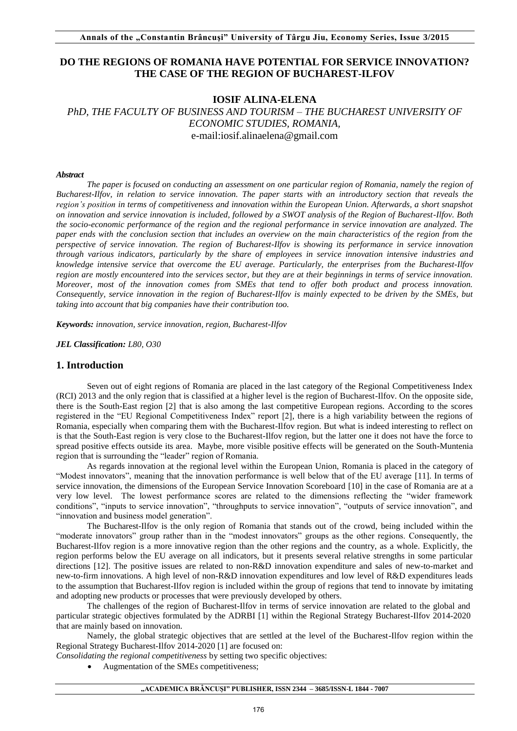# **DO THE REGIONS OF ROMANIA HAVE POTENTIAL FOR SERVICE INNOVATION? THE CASE OF THE REGION OF BUCHAREST-ILFOV**

## **IOSIF ALINA-ELENA**

*PhD, THE FACULTY OF BUSINESS AND TOURISM – THE BUCHAREST UNIVERSITY OF ECONOMIC STUDIES, ROMANIA,*  e-mail:iosif.alinaelena@gmail.com

#### *Abstract*

*The paper is focused on conducting an assessment on one particular region of Romania, namely the region of Bucharest-Ilfov, in relation to service innovation. The paper starts with an introductory section that reveals the region's position in terms of competitiveness and innovation within the European Union. Afterwards, a short snapshot on innovation and service innovation is included, followed by a SWOT analysis of the Region of Bucharest-Ilfov. Both the socio-economic performance of the region and the regional performance in service innovation are analyzed. The paper ends with the conclusion section that includes an overview on the main characteristics of the region from the perspective of service innovation. The region of Bucharest-Ilfov is showing its performance in service innovation through various indicators, particularly by the share of employees in service innovation intensive industries and knowledge intensive service that overcome the EU average. Particularly, the enterprises from the Bucharest-Ilfov region are mostly encountered into the services sector, but they are at their beginnings in terms of service innovation. Moreover, most of the innovation comes from SMEs that tend to offer both product and process innovation. Consequently, service innovation in the region of Bucharest-Ilfov is mainly expected to be driven by the SMEs, but taking into account that big companies have their contribution too.* 

*Keywords: innovation, service innovation, region, Bucharest-Ilfov* 

*JEL Classification: L80, O30*

### **1. Introduction**

Seven out of eight regions of Romania are placed in the last category of the Regional Competitiveness Index (RCI) 2013 and the only region that is classified at a higher level is the region of Bucharest-Ilfov. On the opposite side, there is the South-East region [2] that is also among the last competitive European regions. According to the scores registered in the "EU Regional Competitiveness Index" report [2], there is a high variability between the regions of Romania, especially when comparing them with the Bucharest-Ilfov region. But what is indeed interesting to reflect on is that the South-East region is very close to the Bucharest-Ilfov region, but the latter one it does not have the force to spread positive effects outside its area. Maybe, more visible positive effects will be generated on the South-Muntenia region that is surrounding the "leader" region of Romania.

As regards innovation at the regional level within the European Union, Romania is placed in the category of "Modest innovators", meaning that the innovation performance is well below that of the EU average [11]. In terms of service innovation, the dimensions of the European Service Innovation Scoreboard [10] in the case of Romania are at a very low level. The lowest performance scores are related to the dimensions reflecting the "wider framework conditions", "inputs to service innovation", "throughputs to service innovation", "outputs of service innovation", and "innovation and business model generation".

The Bucharest-Ilfov is the only region of Romania that stands out of the crowd, being included within the "moderate innovators" group rather than in the "modest innovators" groups as the other regions. Consequently, the Bucharest-Ilfov region is a more innovative region than the other regions and the country, as a whole. Explicitly, the region performs below the EU average on all indicators, but it presents several relative strengths in some particular directions [12]. The positive issues are related to non-R&D innovation expenditure and sales of new-to-market and new-to-firm innovations. A high level of non-R&D innovation expenditures and low level of R&D expenditures leads to the assumption that Bucharest-Ilfov region is included within the group of regions that tend to innovate by imitating and adopting new products or processes that were previously developed by others.

The challenges of the region of Bucharest-Ilfov in terms of service innovation are related to the global and particular strategic objectives formulated by the ADRBI [1] within the Regional Strategy Bucharest-Ilfov 2014-2020 that are mainly based on innovation.

Namely, the global strategic objectives that are settled at the level of the Bucharest-Ilfov region within the Regional Strategy Bucharest-Ilfov 2014-2020 [1] are focused on:

*Consolidating the regional competitiveness* by setting two specific objectives:

Augmentation of the SMEs competitiveness;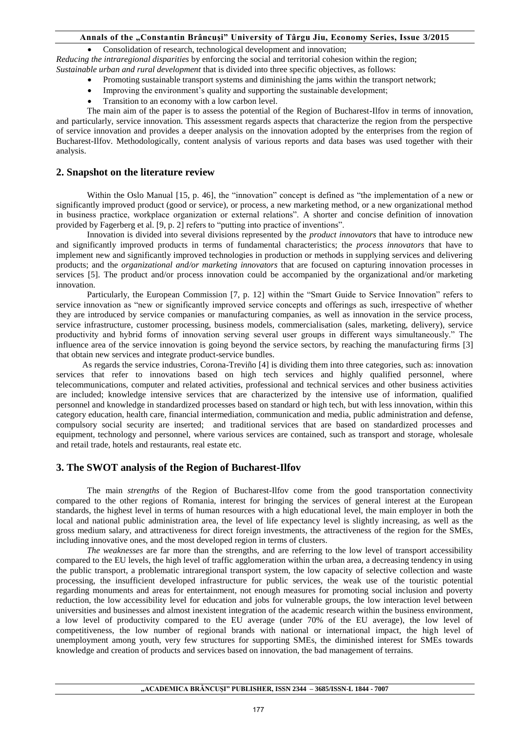#### **Annals of the "Constantin Brâncuşi" University of Târgu Jiu, Economy Series, Issue 3/2015**

Consolidation of research, technological development and innovation;

*Reducing the intraregional disparities* by enforcing the social and territorial cohesion within the region; *Sustainable urban and rural development* that is divided into three specific objectives, as follows:

- Promoting sustainable transport systems and diminishing the jams within the transport network;
- Improving the environment's quality and supporting the sustainable development;
- Transition to an economy with a low carbon level.

The main aim of the paper is to assess the potential of the Region of Bucharest-Ilfov in terms of innovation, and particularly, service innovation. This assessment regards aspects that characterize the region from the perspective of service innovation and provides a deeper analysis on the innovation adopted by the enterprises from the region of Bucharest-Ilfov. Methodologically, content analysis of various reports and data bases was used together with their analysis.

## **2. Snapshot on the literature review**

Within the Oslo Manual [15, p. 46], the "innovation" concept is defined as "the implementation of a new or significantly improved product (good or service), or process, a new marketing method, or a new organizational method in business practice, workplace organization or external relations". A shorter and concise definition of innovation provided by Fagerberg et al. [9, p. 2] refers to "putting into practice of inventions".

Innovation is divided into several divisions represented by the *product innovators* that have to introduce new and significantly improved products in terms of fundamental characteristics; the *process innovators* that have to implement new and significantly improved technologies in production or methods in supplying services and delivering products; and the *organizational and/or marketing innovators* that are focused on capturing innovation processes in services [5]. The product and/or process innovation could be accompanied by the organizational and/or marketing innovation.

Particularly, the European Commission [7, p. 12] within the "Smart Guide to Service Innovation" refers to service innovation as "new or significantly improved service concepts and offerings as such, irrespective of whether they are introduced by service companies or manufacturing companies, as well as innovation in the service process, service infrastructure, customer processing, business models, commercialisation (sales, marketing, delivery), service productivity and hybrid forms of innovation serving several user groups in different ways simultaneously." The influence area of the service innovation is going beyond the service sectors, by reaching the manufacturing firms [3] that obtain new services and integrate product-service bundles.

As regards the service industries, Corona-Treviño [4] is dividing them into three categories, such as: innovation services that refer to innovations based on high tech services and highly qualified personnel, where telecommunications, computer and related activities, professional and technical services and other business activities are included; knowledge intensive services that are characterized by the intensive use of information, qualified personnel and knowledge in standardized processes based on standard or high tech, but with less innovation, within this category education, health care, financial intermediation, communication and media, public administration and defense, compulsory social security are inserted; and traditional services that are based on standardized processes and equipment, technology and personnel, where various services are contained, such as transport and storage, wholesale and retail trade, hotels and restaurants, real estate etc.

## **3. The SWOT analysis of the Region of Bucharest-Ilfov**

The main *strengths* of the Region of Bucharest-Ilfov come from the good transportation connectivity compared to the other regions of Romania, interest for bringing the services of general interest at the European standards, the highest level in terms of human resources with a high educational level, the main employer in both the local and national public administration area, the level of life expectancy level is slightly increasing, as well as the gross medium salary, and attractiveness for direct foreign investments, the attractiveness of the region for the SMEs, including innovative ones, and the most developed region in terms of clusters.

*The weaknesses* are far more than the strengths, and are referring to the low level of transport accessibility compared to the EU levels, the high level of traffic agglomeration within the urban area, a decreasing tendency in using the public transport, a problematic intraregional transport system, the low capacity of selective collection and waste processing, the insufficient developed infrastructure for public services, the weak use of the touristic potential regarding monuments and areas for entertainment, not enough measures for promoting social inclusion and poverty reduction, the low accessibility level for education and jobs for vulnerable groups, the low interaction level between universities and businesses and almost inexistent integration of the academic research within the business environment, a low level of productivity compared to the EU average (under 70% of the EU average), the low level of competitiveness, the low number of regional brands with national or international impact, the high level of unemployment among youth, very few structures for supporting SMEs, the diminished interest for SMEs towards knowledge and creation of products and services based on innovation, the bad management of terrains.

#### **"ACADEMICA BRÂNCUŞI" PUBLISHER, ISSN 2344 – 3685/ISSN-L 1844 - 7007**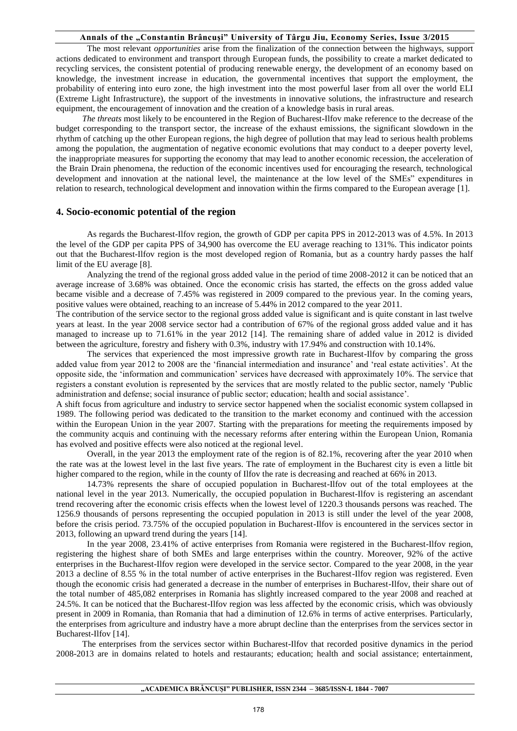#### **Annals of the "Constantin Brâncuşi" University of Târgu Jiu, Economy Series, Issue 3/2015**

The most relevant *opportunities* arise from the finalization of the connection between the highways, support actions dedicated to environment and transport through European funds, the possibility to create a market dedicated to recycling services, the consistent potential of producing renewable energy, the development of an economy based on knowledge, the investment increase in education, the governmental incentives that support the employment, the probability of entering into euro zone, the high investment into the most powerful laser from all over the world ELI (Extreme Light Infrastructure), the support of the investments in innovative solutions, the infrastructure and research equipment, the encouragement of innovation and the creation of a knowledge basis in rural areas.

*The threats* most likely to be encountered in the Region of Bucharest-Ilfov make reference to the decrease of the budget corresponding to the transport sector, the increase of the exhaust emissions, the significant slowdown in the rhythm of catching up the other European regions, the high degree of pollution that may lead to serious health problems among the population, the augmentation of negative economic evolutions that may conduct to a deeper poverty level, the inappropriate measures for supporting the economy that may lead to another economic recession, the acceleration of the Brain Drain phenomena, the reduction of the economic incentives used for encouraging the research, technological development and innovation at the national level, the maintenance at the low level of the SMEs" expenditures in relation to research, technological development and innovation within the firms compared to the European average [1].

### **4. Socio-economic potential of the region**

As regards the Bucharest-Ilfov region, the growth of GDP per capita PPS in 2012-2013 was of 4.5%. In 2013 the level of the GDP per capita PPS of 34,900 has overcome the EU average reaching to 131%. This indicator points out that the Bucharest-Ilfov region is the most developed region of Romania, but as a country hardy passes the half limit of the EU average [8].

Analyzing the trend of the regional gross added value in the period of time 2008-2012 it can be noticed that an average increase of 3.68% was obtained. Once the economic crisis has started, the effects on the gross added value became visible and a decrease of 7.45% was registered in 2009 compared to the previous year. In the coming years, positive values were obtained, reaching to an increase of 5.44% in 2012 compared to the year 2011.

The contribution of the service sector to the regional gross added value is significant and is quite constant in last twelve years at least. In the year 2008 service sector had a contribution of 67% of the regional gross added value and it has managed to increase up to 71.61% in the year 2012 [14]. The remaining share of added value in 2012 is divided between the agriculture, forestry and fishery with 0.3%, industry with 17.94% and construction with 10.14%.

The services that experienced the most impressive growth rate in Bucharest-Ilfov by comparing the gross added value from year 2012 to 2008 are the 'financial intermediation and insurance' and 'real estate activities'. At the opposite side, the 'information and communication' services have decreased with approximately 10%. The service that registers a constant evolution is represented by the services that are mostly related to the public sector, namely 'Public administration and defense; social insurance of public sector; education; health and social assistance'.

A shift focus from agriculture and industry to service sector happened when the socialist economic system collapsed in 1989. The following period was dedicated to the transition to the market economy and continued with the accession within the European Union in the year 2007. Starting with the preparations for meeting the requirements imposed by the community acquis and continuing with the necessary reforms after entering within the European Union, Romania has evolved and positive effects were also noticed at the regional level.

Overall, in the year 2013 the employment rate of the region is of 82.1%, recovering after the year 2010 when the rate was at the lowest level in the last five years. The rate of employment in the Bucharest city is even a little bit higher compared to the region, while in the county of Ilfov the rate is decreasing and reached at 66% in 2013.

14.73% represents the share of occupied population in Bucharest-Ilfov out of the total employees at the national level in the year 2013. Numerically, the occupied population in Bucharest-Ilfov is registering an ascendant trend recovering after the economic crisis effects when the lowest level of 1220.3 thousands persons was reached. The 1256.9 thousands of persons representing the occupied population in 2013 is still under the level of the year 2008, before the crisis period. 73.75% of the occupied population in Bucharest-Ilfov is encountered in the services sector in 2013, following an upward trend during the years [14].

In the year 2008, 23.41% of active enterprises from Romania were registered in the Bucharest-Ilfov region, registering the highest share of both SMEs and large enterprises within the country. Moreover, 92% of the active enterprises in the Bucharest-Ilfov region were developed in the service sector. Compared to the year 2008, in the year 2013 a decline of 8.55 % in the total number of active enterprises in the Bucharest-Ilfov region was registered. Even though the economic crisis had generated a decrease in the number of enterprises in Bucharest-Ilfov, their share out of the total number of 485,082 enterprises in Romania has slightly increased compared to the year 2008 and reached at 24.5%. It can be noticed that the Bucharest-Ilfov region was less affected by the economic crisis, which was obviously present in 2009 in Romania, than Romania that had a diminution of 12.6% in terms of active enterprises. Particularly, the enterprises from agriculture and industry have a more abrupt decline than the enterprises from the services sector in Bucharest-Ilfov [14].

The enterprises from the services sector within Bucharest-Ilfov that recorded positive dynamics in the period 2008-2013 are in domains related to hotels and restaurants; education; health and social assistance; entertainment,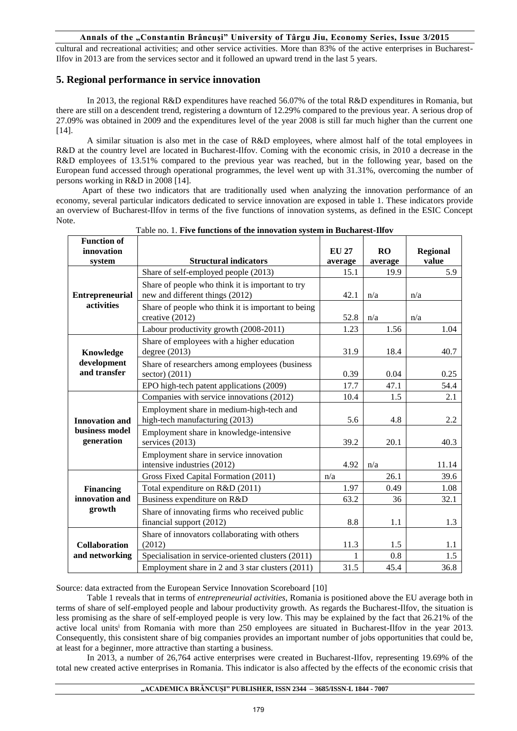#### **Annals of the "Constantin Brâncuşi" University of Târgu Jiu, Economy Series, Issue 3/2015**

cultural and recreational activities; and other service activities. More than 83% of the active enterprises in Bucharest-Ilfov in 2013 are from the services sector and it followed an upward trend in the last 5 years.

# **5. Regional performance in service innovation**

In 2013, the regional R&D expenditures have reached 56.07% of the total R&D expenditures in Romania, but there are still on a descendent trend, registering a downturn of 12.29% compared to the previous year. A serious drop of 27.09% was obtained in 2009 and the expenditures level of the year 2008 is still far much higher than the current one [14].

A similar situation is also met in the case of R&D employees, where almost half of the total employees in R&D at the country level are located in Bucharest-Ilfov. Coming with the economic crisis, in 2010 a decrease in the R&D employees of 13.51% compared to the previous year was reached, but in the following year, based on the European fund accessed through operational programmes, the level went up with 31.31%, overcoming the number of persons working in R&D in 2008 [14].

Apart of these two indicators that are traditionally used when analyzing the innovation performance of an economy, several particular indicators dedicated to service innovation are exposed in table 1. These indicators provide an overview of Bucharest-Ilfov in terms of the five functions of innovation systems, as defined in the ESIC Concept Note.

| <b>Function of</b><br>innovation                      |                                                                                     | <b>EU 27</b> |               |                          |
|-------------------------------------------------------|-------------------------------------------------------------------------------------|--------------|---------------|--------------------------|
| system                                                | <b>Structural indicators</b>                                                        | average      | RO<br>average | <b>Regional</b><br>value |
| <b>Entrepreneurial</b><br>activities                  | Share of self-employed people (2013)                                                | 15.1         | 19.9          | 5.9                      |
|                                                       | Share of people who think it is important to try<br>new and different things (2012) | 42.1         | n/a           | n/a                      |
|                                                       | Share of people who think it is important to being<br>creative (2012)               | 52.8         | n/a           | n/a                      |
|                                                       | Labour productivity growth (2008-2011)                                              | 1.23         | 1.56          | 1.04                     |
| Knowledge<br>development<br>and transfer              | Share of employees with a higher education<br>degree $(2013)$                       | 31.9         | 18.4          | 40.7                     |
|                                                       | Share of researchers among employees (business<br>sector) (2011)                    | 0.39         | 0.04          | 0.25                     |
|                                                       | EPO high-tech patent applications (2009)                                            | 17.7         | 47.1          | 54.4                     |
| <b>Innovation and</b><br>business model<br>generation | Companies with service innovations (2012)                                           | 10.4         | 1.5           | 2.1                      |
|                                                       | Employment share in medium-high-tech and<br>high-tech manufacturing (2013)          | 5.6          | 4.8           | 2.2                      |
|                                                       | Employment share in knowledge-intensive<br>services (2013)                          | 39.2         | 20.1          | 40.3                     |
|                                                       | Employment share in service innovation<br>intensive industries (2012)               | 4.92         | n/a           | 11.14                    |
| <b>Financing</b><br>innovation and<br>growth          | Gross Fixed Capital Formation (2011)                                                | n/a          | 26.1          | 39.6                     |
|                                                       | Total expenditure on R&D (2011)                                                     | 1.97         | 0.49          | 1.08                     |
|                                                       | Business expenditure on R&D                                                         | 63.2         | 36            | 32.1                     |
|                                                       | Share of innovating firms who received public<br>financial support (2012)           | 8.8          | 1.1           | 1.3                      |
| <b>Collaboration</b><br>and networking                | Share of innovators collaborating with others<br>(2012)                             | 11.3         | 1.5           | 1.1                      |
|                                                       | Specialisation in service-oriented clusters (2011)                                  | 1            | 0.8           | 1.5                      |
|                                                       | Employment share in 2 and 3 star clusters (2011)                                    | 31.5         | 45.4          | 36.8                     |

Table no. 1. **Five functions of the innovation system in Bucharest-Ilfov** 

Source: data extracted from the European Service Innovation Scoreboard [10]

Table 1 reveals that in terms of *entrepreneurial activities*, Romania is positioned above the EU average both in terms of share of self-employed people and labour productivity growth. As regards the Bucharest-Ilfov, the situation is less promising as the share of self-employed people is very low. This may be explained by the fact that 26.21% of the active local units<sup>i</sup> from Romania with more than 250 employees are situated in Bucharest-Ilfov in the year 2013. Consequently, this consistent share of big companies provides an important number of jobs opportunities that could be, at least for a beginner, more attractive than starting a business.

In 2013, a number of 26,764 active enterprises were created in Bucharest-Ilfov, representing 19.69% of the total new created active enterprises in Romania. This indicator is also affected by the effects of the economic crisis that

#### **"ACADEMICA BRÂNCUŞI" PUBLISHER, ISSN 2344 – 3685/ISSN-L 1844 - 7007**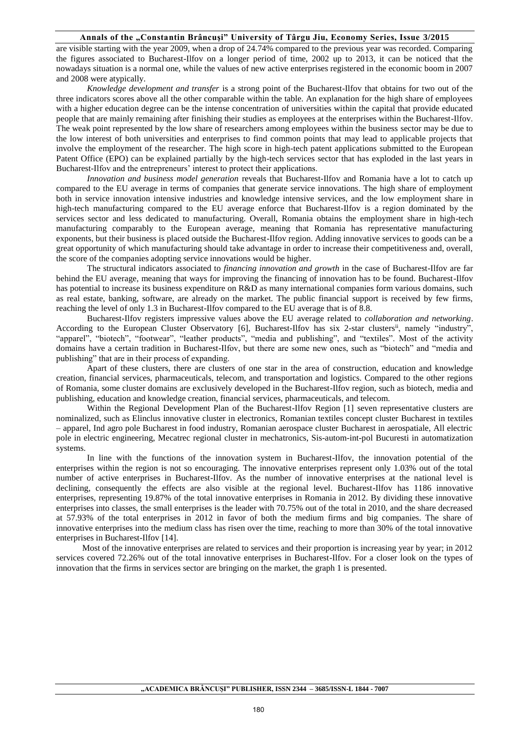#### Annals of the "Constantin Brâncuși" University of Târgu Jiu, Economy Series, Issue 3/2015

are visible starting with the year 2009, when a drop of 24.74% compared to the previous year was recorded. Comparing the figures associated to Bucharest-Ilfov on a longer period of time, 2002 up to 2013, it can be noticed that the nowadays situation is a normal one, while the values of new active enterprises registered in the economic boom in 2007 and 2008 were atypically.

*Knowledge development and transfer* is a strong point of the Bucharest-Ilfov that obtains for two out of the three indicators scores above all the other comparable within the table. An explanation for the high share of employees with a higher education degree can be the intense concentration of universities within the capital that provide educated people that are mainly remaining after finishing their studies as employees at the enterprises within the Bucharest-Ilfov. The weak point represented by the low share of researchers among employees within the business sector may be due to the low interest of both universities and enterprises to find common points that may lead to applicable projects that involve the employment of the researcher. The high score in high-tech patent applications submitted to the European Patent Office (EPO) can be explained partially by the high-tech services sector that has exploded in the last years in Bucharest-Ilfov and the entrepreneurs' interest to protect their applications.

*Innovation and business model generation* reveals that Bucharest-Ilfov and Romania have a lot to catch up compared to the EU average in terms of companies that generate service innovations. The high share of employment both in service innovation intensive industries and knowledge intensive services, and the low employment share in high-tech manufacturing compared to the EU average enforce that Bucharest-Ilfov is a region dominated by the services sector and less dedicated to manufacturing. Overall, Romania obtains the employment share in high-tech manufacturing comparably to the European average, meaning that Romania has representative manufacturing exponents, but their business is placed outside the Bucharest-Ilfov region. Adding innovative services to goods can be a great opportunity of which manufacturing should take advantage in order to increase their competitiveness and, overall, the score of the companies adopting service innovations would be higher.

The structural indicators associated to *financing innovation and growth* in the case of Bucharest-Ilfov are far behind the EU average, meaning that ways for improving the financing of innovation has to be found. Bucharest-Ilfov has potential to increase its business expenditure on R&D as many international companies form various domains, such as real estate, banking, software, are already on the market. The public financial support is received by few firms, reaching the level of only 1.3 in Bucharest-Ilfov compared to the EU average that is of 8.8.

Bucharest-Ilfov registers impressive values above the EU average related to *collaboration and networking*. According to the European Cluster Observatory [6], Bucharest-Ilfov has six 2-star clusters<sup>ii</sup>, namely "industry", "apparel", "biotech", "footwear", "leather products", "media and publishing", and "textiles". Most of the activity domains have a certain tradition in Bucharest-Ilfov, but there are some new ones, such as "biotech" and "media and publishing" that are in their process of expanding.

Apart of these clusters, there are clusters of one star in the area of construction, education and knowledge creation, financial services, pharmaceuticals, telecom, and transportation and logistics. Compared to the other regions of Romania, some cluster domains are exclusively developed in the Bucharest-Ilfov region, such as biotech, media and publishing, education and knowledge creation, financial services, pharmaceuticals, and telecom.

Within the Regional Development Plan of the Bucharest-Ilfov Region [1] seven representative clusters are nominalized, such as Elinclus innovative cluster in electronics, Romanian textiles concept cluster Bucharest in textiles – apparel, Ind agro pole Bucharest in food industry, Romanian aerospace cluster Bucharest in aerospatiale, All electric pole in electric engineering, Mecatrec regional cluster in mechatronics, Sis-autom-int-pol Bucuresti in automatization systems.

In line with the functions of the innovation system in Bucharest-Ilfov, the innovation potential of the enterprises within the region is not so encouraging. The innovative enterprises represent only 1.03% out of the total number of active enterprises in Bucharest-Ilfov. As the number of innovative enterprises at the national level is declining, consequently the effects are also visible at the regional level. Bucharest-Ilfov has 1186 innovative enterprises, representing 19.87% of the total innovative enterprises in Romania in 2012. By dividing these innovative enterprises into classes, the small enterprises is the leader with 70.75% out of the total in 2010, and the share decreased at 57.93% of the total enterprises in 2012 in favor of both the medium firms and big companies. The share of innovative enterprises into the medium class has risen over the time, reaching to more than 30% of the total innovative enterprises in Bucharest-Ilfov [14].

Most of the innovative enterprises are related to services and their proportion is increasing year by year; in 2012 services covered 72.26% out of the total innovative enterprises in Bucharest-Ilfov. For a closer look on the types of innovation that the firms in services sector are bringing on the market, the graph 1 is presented.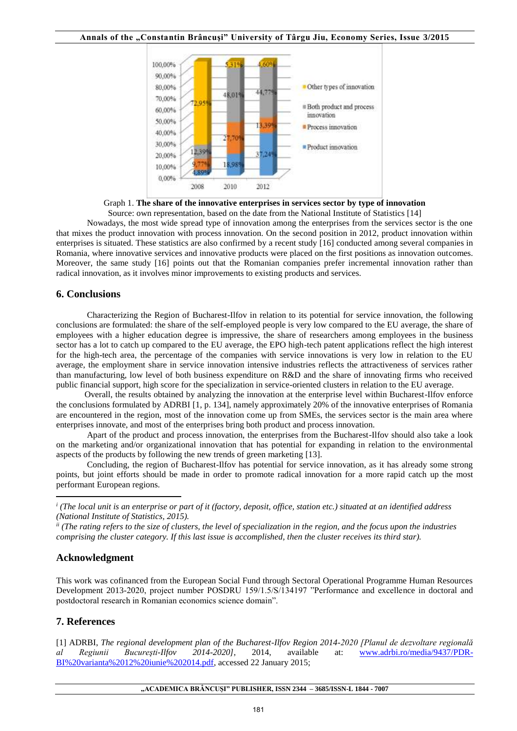

Graph 1. **The share of the innovative enterprises in services sector by type of innovation** 

Source: own representation, based on the date from the National Institute of Statistics [14]

Nowadays, the most wide spread type of innovation among the enterprises from the services sector is the one that mixes the product innovation with process innovation. On the second position in 2012, product innovation within enterprises is situated. These statistics are also confirmed by a recent study [16] conducted among several companies in Romania, where innovative services and innovative products were placed on the first positions as innovation outcomes. Moreover, the same study [16] points out that the Romanian companies prefer incremental innovation rather than radical innovation, as it involves minor improvements to existing products and services.

# **6. Conclusions**

Characterizing the Region of Bucharest-Ilfov in relation to its potential for service innovation, the following conclusions are formulated: the share of the self-employed people is very low compared to the EU average, the share of employees with a higher education degree is impressive, the share of researchers among employees in the business sector has a lot to catch up compared to the EU average, the EPO high-tech patent applications reflect the high interest for the high-tech area, the percentage of the companies with service innovations is very low in relation to the EU average, the employment share in service innovation intensive industries reflects the attractiveness of services rather than manufacturing, low level of both business expenditure on R&D and the share of innovating firms who received public financial support, high score for the specialization in service-oriented clusters in relation to the EU average.

 Overall, the results obtained by analyzing the innovation at the enterprise level within Bucharest-Ilfov enforce the conclusions formulated by ADRBI [1, p. 134], namely approximately 20% of the innovative enterprises of Romania are encountered in the region, most of the innovation come up from SMEs, the services sector is the main area where enterprises innovate, and most of the enterprises bring both product and process innovation.

Apart of the product and process innovation, the enterprises from the Bucharest-Ilfov should also take a look on the marketing and/or organizational innovation that has potential for expanding in relation to the environmental aspects of the products by following the new trends of green marketing [13].

Concluding, the region of Bucharest-Ilfov has potential for service innovation, as it has already some strong points, but joint efforts should be made in order to promote radical innovation for a more rapid catch up the most performant European regions.

## **Acknowledgment**

1

This work was cofinanced from the European Social Fund through Sectoral Operational Programme Human Resources Development 2013-2020, project number POSDRU 159/1.5/S/134197 "Performance and excellence in doctoral and postdoctoral research in Romanian economics science domain".

# **7. References**

[1] ADRBI, *The regional development plan of the Bucharest-Ilfov Region 2014-2020 [Planul de dezvoltare regională al Regiunii Bucureşti-Ilfov 2014-2020]*, 2014, available at: [www.adrbi.ro/media/9437/PDR-](http://www.adrbi.ro/media/9437/PDR-BI%20varianta%2012%20iunie%202014.pdf)[BI%20varianta%2012%20iunie%202014.pdf,](http://www.adrbi.ro/media/9437/PDR-BI%20varianta%2012%20iunie%202014.pdf) accessed 22 January 2015;

<sup>&</sup>lt;sup>*i*</sup> (The local unit is an enterprise or part of it (factory, deposit, office, station etc.) situated at an identified address *(National Institute of Statistics, 2015).* 

*ii (The rating refers to the size of clusters, the level of specialization in the region, and the focus upon the industries comprising the cluster category. If this last issue is accomplished, then the cluster receives its third star).*